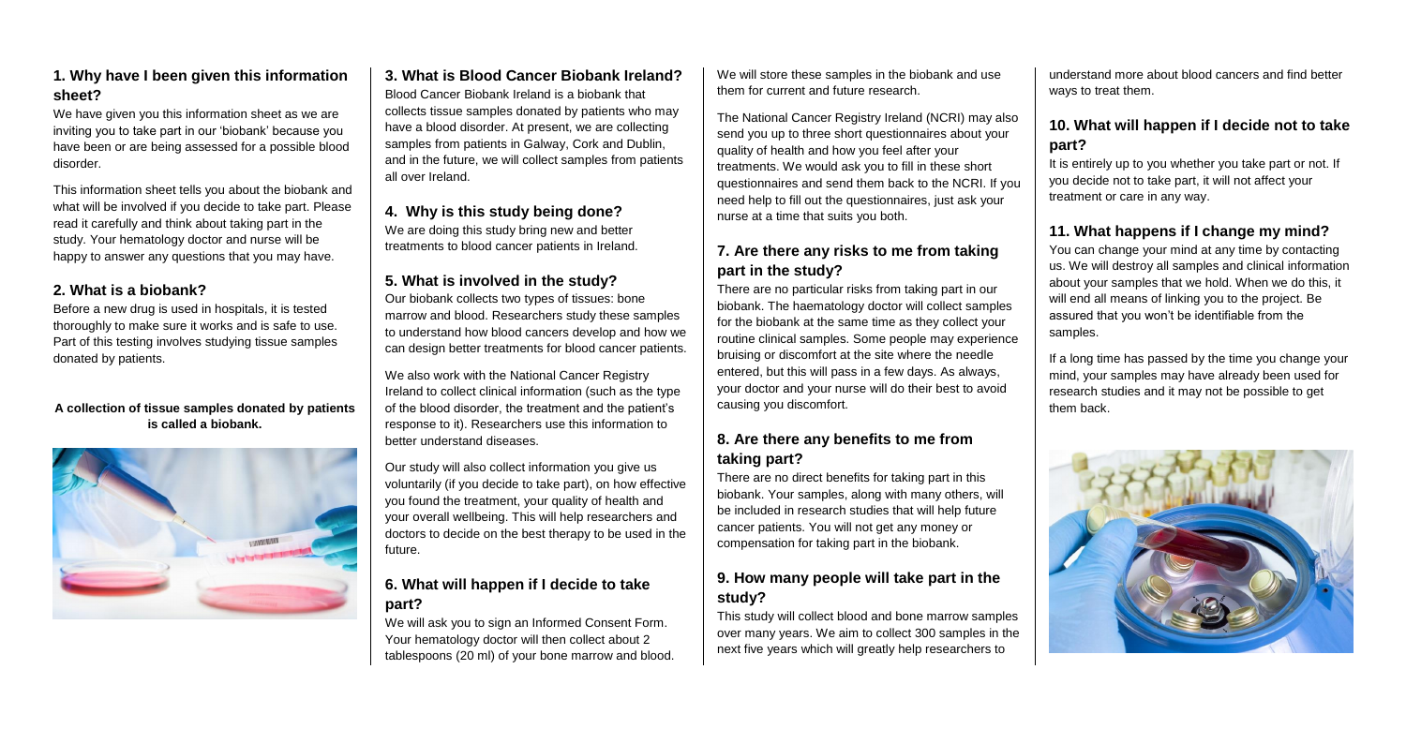#### **1. Why have I been given this information sheet?**

We have given you this information sheet as we are inviting you to take part in our 'biobank' because you have been or are being assessed for a possible blood disorder.

This information sheet tells you about the biobank and what will be involved if you decide to take part. Please read it carefully and think about taking part in the study. Your hematology doctor and nurse will be happy to answer any questions that you may have.

# **2. What is a biobank?**

Before a new drug is used in hospitals, it is tested thoroughly to make sure it works and is safe to use. Part of this testing involves studying tissue samples donated by patients.

We are doing this study bring new and better treatments to blood cancer patients in Ireland.

#### **A collection of tissue samples donated by patients is called a biobank.**



# **3. What is Blood Cancer Biobank Ireland?**

We also work with the National Cancer Registry Ireland to collect clinical information (such as the type of the blood disorder, the treatment and the patient's response to it). Researchers use this information to better understand diseases.

Blood Cancer Biobank Ireland is a biobank that collects tissue samples donated by patients who may have a blood disorder. At present, we are collecting samples from patients in Galway, Cork and Dublin, and in the future, we will collect samples from patients all over Ireland.

# **4. Why is this study being done?**

# **5. What is involved in the study?**

Our biobank collects two types of tissues: bone marrow and blood. Researchers study these samples to understand how blood cancers develop and how we can design better treatments for blood cancer patients.

Our study will also collect information you give us voluntarily (if you decide to take part), on how effective you found the treatment, your quality of health and your overall wellbeing. This will help researchers and doctors to decide on the best therapy to be used in the future.

It is entirely up to you whether you take part or not. If you decide not to take part, it will not affect your treatment or care in any way.

# **6. What will happen if I decide to take part?**

We will ask you to sign an Informed Consent Form. Your hematology doctor will then collect about 2 tablespoons (20 ml) of your bone marrow and blood.

We will store these samples in the biobank and use them for current and future research.

The National Cancer Registry Ireland (NCRI) may also send you up to three short questionnaires about your quality of health and how you feel after your treatments. We would ask you to fill in these short questionnaires and send them back to the NCRI. If you need help to fill out the questionnaires, just ask your nurse at a time that suits you both.

# **7. Are there any risks to me from taking part in the study?**

There are no particular risks from taking part in our biobank. The haematology doctor will collect samples for the biobank at the same time as they collect your routine clinical samples. Some people may experience bruising or discomfort at the site where the needle entered, but this will pass in a few days. As always, your doctor and your nurse will do their best to avoid causing you discomfort.

#### **8. Are there any benefits to me from taking part?**

There are no direct benefits for taking part in this biobank. Your samples, along with many others, will be included in research studies that will help future cancer patients. You will not get any money or compensation for taking part in the biobank.

#### **9. How many people will take part in the study?**

This study will collect blood and bone marrow samples over many years. We aim to collect 300 samples in the next five years which will greatly help researchers to

understand more about blood cancers and find better ways to treat them.

# **10. What will happen if I decide not to take part?**

# **11. What happens if I change my mind?**

You can change your mind at any time by contacting us. We will destroy all samples and clinical information about your samples that we hold. When we do this, it will end all means of linking you to the project. Be assured that you won't be identifiable from the samples.

If a long time has passed by the time you change your mind, your samples may have already been used for research studies and it may not be possible to get them back.